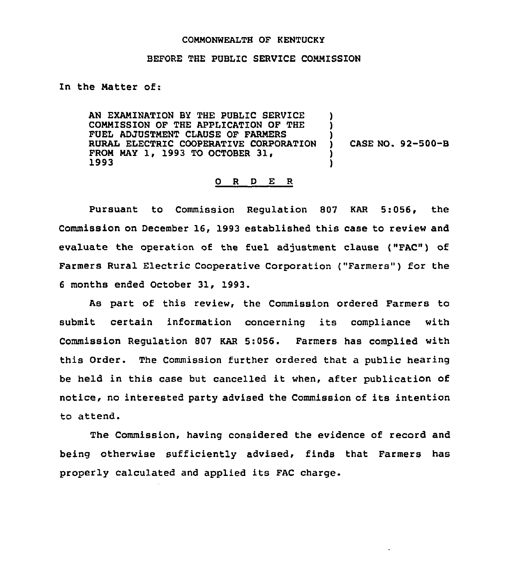## COMMONWEALTH OF KENTUCKY

## BEFORE THE PUBLIC SERVICE COMMISSION

In the Natter of:

AN EXAMINATION BY THE PUBLIC SERVICE COMMISSION OF THE APPLICATION OF THE FUEL ADJUSTMENT CLAUSE OF FARMERS RURAL ELECTRIC COOPERATIVE CORPORATION FROM MAY 1, 1993 TO OCTOBER 31,<br>1993

) CASE NO. 92-500-B

!<br>. !<br>! )

> ) )

## 0 R <sup>D</sup> E R

Pursuant to Commission Regulation 807 KAR 5:056, the Commission on December 16, 1993 established this case to review and evaluate the operation of the fuel adjustment clause ("FAC") of Farmers Rural Electric Cooperative Corporation ("Farmers") for the 6 months ended October 31, 1993.

As part of this review, the Commission ordered Farmers to submit certain information concerning its compliance with Commission Regulation 807 KAR 5:056. Farmers has complied with this Order. The Commission further ordered that a public hearing be held in this case but cancelled it when, after publication of notice, no interested party advised the Commission of its intention to attend.

The Commission, having considered the evidence of record and being otherwise sufficiently advised, finds that Farmers has properly calculated and applied its FAC charge.